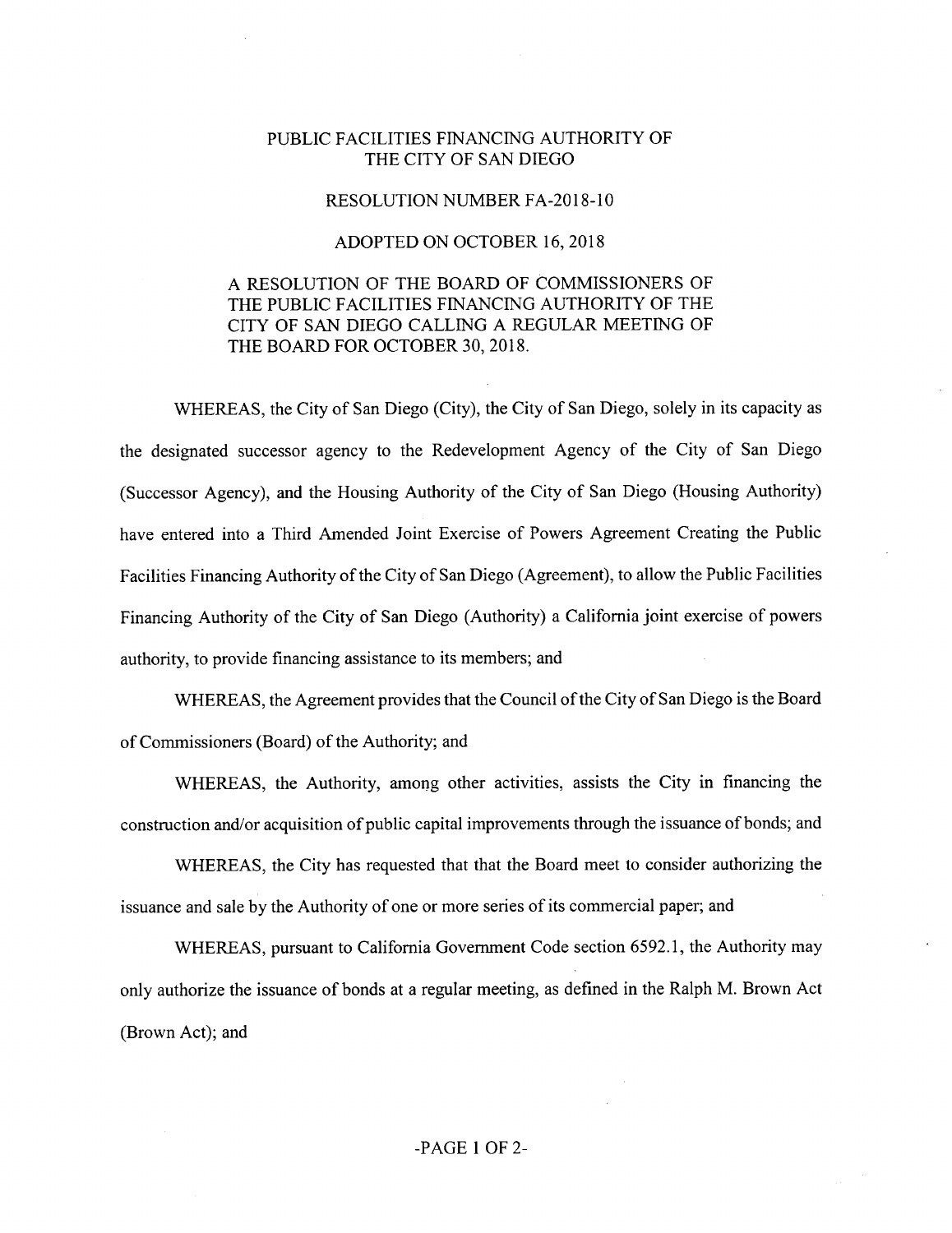## PUBLIC FACILITIES FINANCING AUTHORITY OF THE CITY OF SAN DIEGO

## RESOLUTION NUMBER FA-2018-10

## ADOPTED ON OCTOBER 16, 2018

## A RESOLUTION OF THE BOARD OF COMMISSIONERS OF THE PUBLIC FACILITIES FINANCING AUTHORITY OF THE CITY OF SAN DIEGO CALLING A REGULAR MEETING OF THE BOARD FOR OCTOBER 30, 2018.

WHEREAS, the City of San Diego (City), the City of San Diego, solely in its capacity as the designated successor agency to the Redevelopment Agency of the City of San Diego (Successor Agency), and the Housing Authority of the City of San Diego (Housing Authority) have entered into a Third Amended Joint Exercise of Powers Agreement Creating the Public Facilities Financing Authority of the City of San Diego (Agreement), to allow the Public Facilities Financing Authority of the City of San Diego (Authority) a California joint exercise of powers authority, to provide financing assistance to its members; and

WHEREAS, the Agreement provides that the Council of the City of San Diego is the Board of Commissioners (Board) of the Authority; and

WHEREAS, the Authority, among other activities, assists the City in financing the construction and/or acquisition of public capital improvements through the issuance of bonds; and

WHEREAS, the City has requested that that the Board meet to consider authorizing the issuance and sale by the Authority of one or more series of its commercial paper; and

WHEREAS, pursuant to California Government Code section 6592.1, the Authority may only authorize the issuance of bonds at a regular meeting, as defined in the Ralph M. Brown Act (Brown Act); and